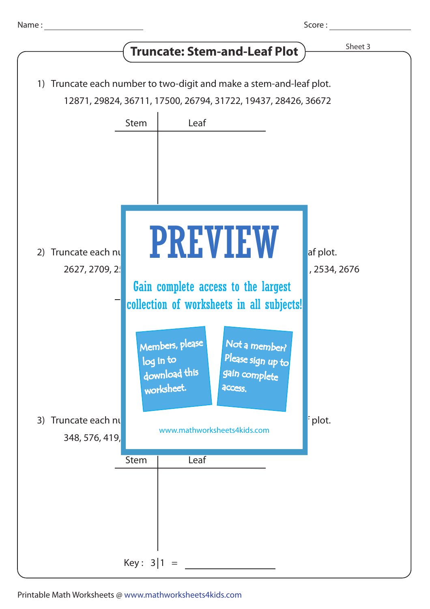